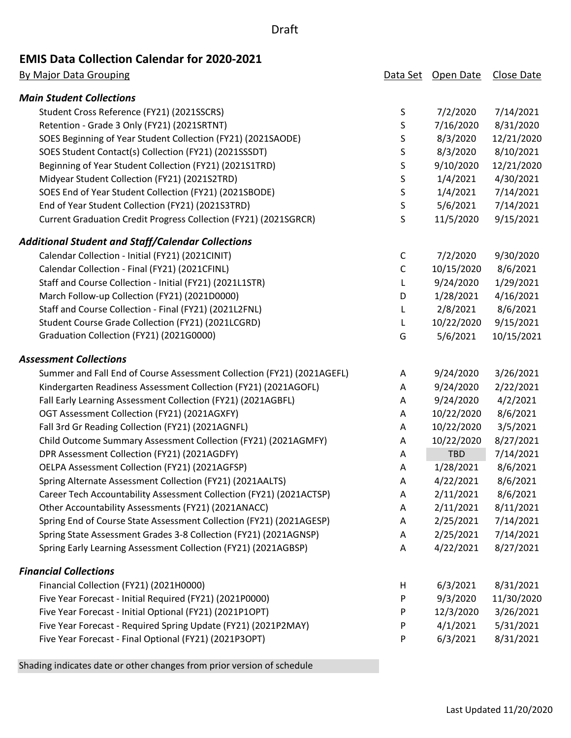### Draft

# **EMIS Data Collection Calendar for 2020-2021**

| <b>By Major Data Grouping</b>                                          |             | Data Set Open Date | Close Date |
|------------------------------------------------------------------------|-------------|--------------------|------------|
| <b>Main Student Collections</b>                                        |             |                    |            |
| Student Cross Reference (FY21) (2021SSCRS)                             | $\sf S$     | 7/2/2020           | 7/14/2021  |
| Retention - Grade 3 Only (FY21) (2021SRTNT)                            | $\sf S$     | 7/16/2020          | 8/31/2020  |
| SOES Beginning of Year Student Collection (FY21) (2021SAODE)           | S           | 8/3/2020           | 12/21/2020 |
| SOES Student Contact(s) Collection (FY21) (2021SSSDT)                  | $\sf S$     | 8/3/2020           | 8/10/2021  |
| Beginning of Year Student Collection (FY21) (2021S1TRD)                | S           | 9/10/2020          | 12/21/2020 |
| Midyear Student Collection (FY21) (2021S2TRD)                          | $\sf S$     | 1/4/2021           | 4/30/2021  |
| SOES End of Year Student Collection (FY21) (2021SBODE)                 | $\sf S$     | 1/4/2021           | 7/14/2021  |
| End of Year Student Collection (FY21) (2021S3TRD)                      | $\sf S$     | 5/6/2021           | 7/14/2021  |
| Current Graduation Credit Progress Collection (FY21) (2021SGRCR)       | S           | 11/5/2020          | 9/15/2021  |
| Additional Student and Staff/Calendar Collections                      |             |                    |            |
| Calendar Collection - Initial (FY21) (2021CINIT)                       | C           | 7/2/2020           | 9/30/2020  |
| Calendar Collection - Final (FY21) (2021CFINL)                         | $\mathsf C$ | 10/15/2020         | 8/6/2021   |
| Staff and Course Collection - Initial (FY21) (2021L1STR)               | L           | 9/24/2020          | 1/29/2021  |
| March Follow-up Collection (FY21) (2021D0000)                          | D           | 1/28/2021          | 4/16/2021  |
| Staff and Course Collection - Final (FY21) (2021L2FNL)                 | L           | 2/8/2021           | 8/6/2021   |
| Student Course Grade Collection (FY21) (2021LCGRD)                     | L           | 10/22/2020         | 9/15/2021  |
| Graduation Collection (FY21) (2021G0000)                               | G           | 5/6/2021           | 10/15/2021 |
| <b>Assessment Collections</b>                                          |             |                    |            |
| Summer and Fall End of Course Assessment Collection (FY21) (2021AGEFL) | Α           | 9/24/2020          | 3/26/2021  |
| Kindergarten Readiness Assessment Collection (FY21) (2021AGOFL)        | Α           | 9/24/2020          | 2/22/2021  |
| Fall Early Learning Assessment Collection (FY21) (2021AGBFL)           | Α           | 9/24/2020          | 4/2/2021   |
| OGT Assessment Collection (FY21) (2021AGXFY)                           | Α           | 10/22/2020         | 8/6/2021   |
| Fall 3rd Gr Reading Collection (FY21) (2021AGNFL)                      | Α           | 10/22/2020         | 3/5/2021   |
| Child Outcome Summary Assessment Collection (FY21) (2021AGMFY)         | Α           | 10/22/2020         | 8/27/2021  |
| DPR Assessment Collection (FY21) (2021AGDFY)                           | Α           | <b>TBD</b>         | 7/14/2021  |
| OELPA Assessment Collection (FY21) (2021AGFSP)                         | Α           | 1/28/2021          | 8/6/2021   |
| Spring Alternate Assessment Collection (FY21) (2021AALTS)              | A           | 4/22/2021          | 8/6/2021   |
| Career Tech Accountability Assessment Collection (FY21) (2021ACTSP)    | A           | 2/11/2021          | 8/6/2021   |
| Other Accountability Assessments (FY21) (2021ANACC)                    | Α           | 2/11/2021          | 8/11/2021  |
| Spring End of Course State Assessment Collection (FY21) (2021AGESP)    | Α           | 2/25/2021          | 7/14/2021  |
| Spring State Assessment Grades 3-8 Collection (FY21) (2021AGNSP)       | Α           | 2/25/2021          | 7/14/2021  |
| Spring Early Learning Assessment Collection (FY21) (2021AGBSP)         | Α           | 4/22/2021          | 8/27/2021  |
| <b>Financial Collections</b>                                           |             |                    |            |
| Financial Collection (FY21) (2021H0000)                                | н           | 6/3/2021           | 8/31/2021  |
| Five Year Forecast - Initial Required (FY21) (2021P0000)               | P           | 9/3/2020           | 11/30/2020 |
| Five Year Forecast - Initial Optional (FY21) (2021P1OPT)               | P           | 12/3/2020          | 3/26/2021  |
| Five Year Forecast - Required Spring Update (FY21) (2021P2MAY)         | P           | 4/1/2021           | 5/31/2021  |
| Five Year Forecast - Final Optional (FY21) (2021P3OPT)                 | P           | 6/3/2021           | 8/31/2021  |

Shading indicates date or other changes from prior version of schedule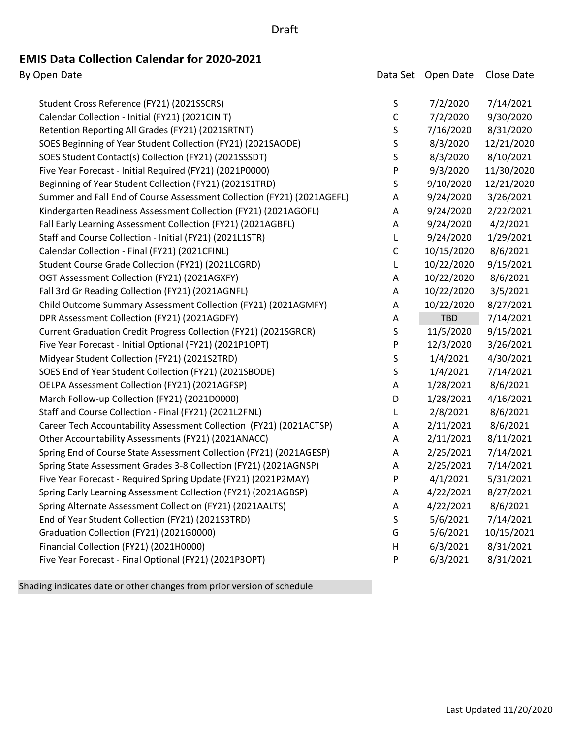#### Draft

# **EMIS Data Collection Calendar for 2020-2021**

| By Open Date                                                           | Data Set    | Open Date  | Close Date |
|------------------------------------------------------------------------|-------------|------------|------------|
|                                                                        |             |            |            |
| Student Cross Reference (FY21) (2021SSCRS)                             | $\sf S$     | 7/2/2020   | 7/14/2021  |
| Calendar Collection - Initial (FY21) (2021CINIT)                       | $\mathsf C$ | 7/2/2020   | 9/30/2020  |
| Retention Reporting All Grades (FY21) (2021SRTNT)                      | S           | 7/16/2020  | 8/31/2020  |
| SOES Beginning of Year Student Collection (FY21) (2021SAODE)           | S           | 8/3/2020   | 12/21/2020 |
| SOES Student Contact(s) Collection (FY21) (2021SSSDT)                  | S           | 8/3/2020   | 8/10/2021  |
| Five Year Forecast - Initial Required (FY21) (2021P0000)               | P           | 9/3/2020   | 11/30/2020 |
| Beginning of Year Student Collection (FY21) (2021S1TRD)                | S           | 9/10/2020  | 12/21/2020 |
| Summer and Fall End of Course Assessment Collection (FY21) (2021AGEFL) | A           | 9/24/2020  | 3/26/2021  |
| Kindergarten Readiness Assessment Collection (FY21) (2021AGOFL)        | Α           | 9/24/2020  | 2/22/2021  |
| Fall Early Learning Assessment Collection (FY21) (2021AGBFL)           | Α           | 9/24/2020  | 4/2/2021   |
| Staff and Course Collection - Initial (FY21) (2021L1STR)               | L           | 9/24/2020  | 1/29/2021  |
| Calendar Collection - Final (FY21) (2021CFINL)                         | $\mathsf C$ | 10/15/2020 | 8/6/2021   |
| Student Course Grade Collection (FY21) (2021LCGRD)                     | L           | 10/22/2020 | 9/15/2021  |
| OGT Assessment Collection (FY21) (2021AGXFY)                           | Α           | 10/22/2020 | 8/6/2021   |
| Fall 3rd Gr Reading Collection (FY21) (2021AGNFL)                      | Α           | 10/22/2020 | 3/5/2021   |
| Child Outcome Summary Assessment Collection (FY21) (2021AGMFY)         | A           | 10/22/2020 | 8/27/2021  |
| DPR Assessment Collection (FY21) (2021AGDFY)                           | Α           | <b>TBD</b> | 7/14/2021  |
| Current Graduation Credit Progress Collection (FY21) (2021SGRCR)       | S           | 11/5/2020  | 9/15/2021  |
| Five Year Forecast - Initial Optional (FY21) (2021P1OPT)               | P           | 12/3/2020  | 3/26/2021  |
| Midyear Student Collection (FY21) (2021S2TRD)                          | S           | 1/4/2021   | 4/30/2021  |
| SOES End of Year Student Collection (FY21) (2021SBODE)                 | S           | 1/4/2021   | 7/14/2021  |
| OELPA Assessment Collection (FY21) (2021AGFSP)                         | Α           | 1/28/2021  | 8/6/2021   |
| March Follow-up Collection (FY21) (2021D0000)                          | D           | 1/28/2021  | 4/16/2021  |
| Staff and Course Collection - Final (FY21) (2021L2FNL)                 | L           | 2/8/2021   | 8/6/2021   |
| Career Tech Accountability Assessment Collection (FY21) (2021ACTSP)    | Α           | 2/11/2021  | 8/6/2021   |
| Other Accountability Assessments (FY21) (2021ANACC)                    | Α           | 2/11/2021  | 8/11/2021  |
| Spring End of Course State Assessment Collection (FY21) (2021AGESP)    | Α           | 2/25/2021  | 7/14/2021  |
| Spring State Assessment Grades 3-8 Collection (FY21) (2021AGNSP)       | A           | 2/25/2021  | 7/14/2021  |
| Five Year Forecast - Required Spring Update (FY21) (2021P2MAY)         | P           | 4/1/2021   | 5/31/2021  |
| Spring Early Learning Assessment Collection (FY21) (2021AGBSP)         | A           | 4/22/2021  | 8/27/2021  |
| Spring Alternate Assessment Collection (FY21) (2021AALTS)              | Α           | 4/22/2021  | 8/6/2021   |
| End of Year Student Collection (FY21) (2021S3TRD)                      | S           | 5/6/2021   | 7/14/2021  |
| Graduation Collection (FY21) (2021G0000)                               | G           | 5/6/2021   | 10/15/2021 |
| Financial Collection (FY21) (2021H0000)                                | H           | 6/3/2021   | 8/31/2021  |
| Five Year Forecast - Final Optional (FY21) (2021P3OPT)                 | P           | 6/3/2021   | 8/31/2021  |
|                                                                        |             |            |            |

Shading indicates date or other changes from prior version of schedule